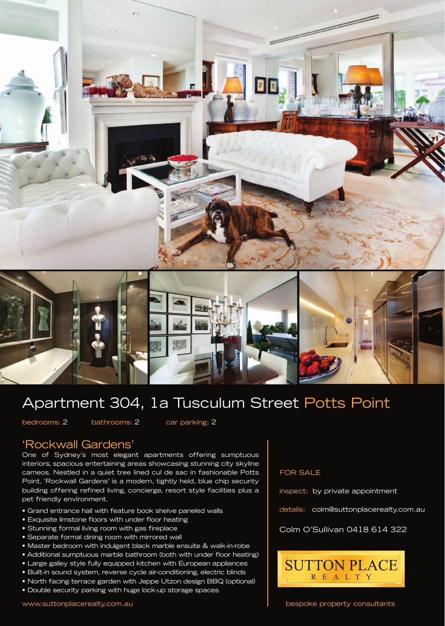



## Apartment 304, 1a Tusculum Street Potts Point

bedrooms: 2 bathrooms: 2 car parking: 2

## 'Rockwall Gardens'

One of Sydney's most elegant apartments offering sumptuous interiors, spacious entertaining areas showcasing stunning city skyline cameos. Nestled in a quiet tree lined cul de sac in fashionable Potts Point, 'Rockwall Gardens' is a modern, tightly held, blue chip security building offering refined living, concierge, resort style facilities plus a pet friendly environment.

- Grand entrance hall with feature book shelve paneled walls
- Exquisite limstone floors with under floor heating
- Stunning formal living room with gas fireplace
- Separate formal dining room with mirrored wall
- Master bedroom with indulgent black marble ensuite & walk-in-robe
- Additional sumptuous marble bathroom (both with under floor heating)
- Large galley style fully equipped kitchen with European appliances
- Built-in sound system, reverse cycle air-conditioning, electric blinds
- North facing terrace garden with Jeppe Utzon design BBQ (optional)
- Double security parking with huge lock-up storage spaces

## FOR SALE

inspect: by private appointment

details: colm@suttonplacerealty.com.au

## Colm O'Sullivan 0418 614 322



bespoke property consultants